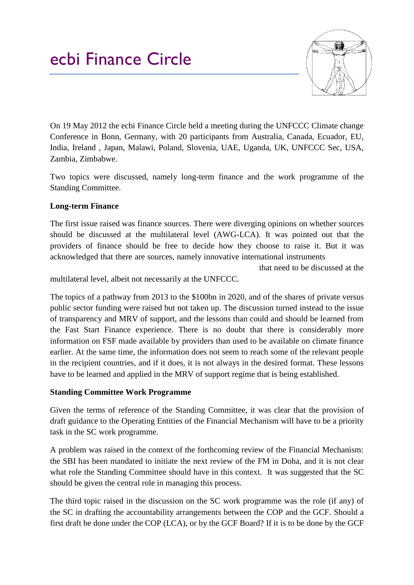## ecbi Finance Circle



On 19 May 2012 the ecbi Finance Circle held a meeting during the UNFCCC Climate change Conference in Bonn, Germany, with 20 participants from Australia, Canada, Ecuador, EU, India, Ireland , Japan, Malawi, Poland, Slovenia, UAE, Uganda, UK, UNFCCC Sec, USA, Zambia, Zimbabwe.

Two topics were discussed, namely long-term finance and the work programme of the Standing Committee.

## **Long-term Finance**

The first issue raised was finance sources. There were diverging opinions on whether sources should be discussed at the multilateral level (AWG-LCA). It was pointed out that the providers of finance should be free to decide how they choose to raise it. But it was acknowledged that there are sources, namely innovative international instruments

that need to be discussed at the

multilateral level, albeit not necessarily at the UNFCCC.

The topics of a pathway from 2013 to the \$100bn in 2020, and of the shares of private versus public sector funding were raised but not taken up. The discussion turned instead to the issue of transparency and MRV of support, and the lessons than could and should be learned from the Fast Start Finance experience. There is no doubt that there is considerably more information on FSF made available by providers than used to be available on climate finance earlier. At the same time, the information does not seem to reach some of the relevant people in the recipient countries, and if it does, it is not always in the desired format. These lessons have to be learned and applied in the MRV of support regime that is being established.

## **Standing Committee Work Programme**

Given the terms of reference of the Standing Committee, it was clear that the provision of draft guidance to the Operating Entities of the Financial Mechanism will have to be a priority task in the SC work programme.

A problem was raised in the context of the forthcoming review of the Financial Mechanism: the SBI has been mandated to initiate the next review of the FM in Doha, and it is not clear what role the Standing Committee should have in this context. It was suggested that the SC should be given the central role in managing this process.

The third topic raised in the discussion on the SC work programme was the role (if any) of the SC in drafting the accountability arrangements between the COP and the GCF. Should a first draft be done under the COP (LCA), or by the GCF Board? If it is to be done by the GCF